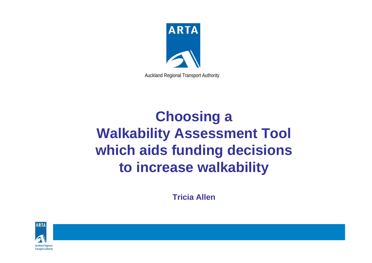

**Choosing a Walkability Assessment Tool which aids funding decisions to increase walkability**

**Tricia Allen**

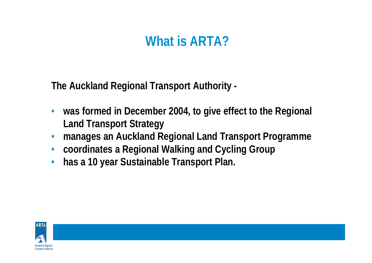## **What is ARTA?**

**The Auckland Regional Transport Authority -**

- • **was formed in December 2004, to give effect to the Regional Land Transport Strategy**
- •**manages an Auckland Regional Land Transport Programme**
- •**coordinates a Regional Walking and Cycling Group**
- •**has a 10 year Sustainable Transport Plan.**

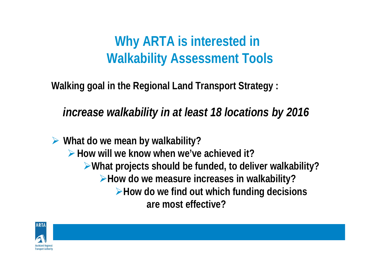## **Why ARTA is interested in Walkability Assessment Tools**

**Walking goal in the Regional Land Transport Strategy :**

*increase walkability in at least 18 locations by 2016*

¾ **What do we mean by walkability?** ¾**How will we know when we've achieved it?**¾**What projects should be funded, to deliver walkability?** ¾**How do we measure increases in walkability?** ¾**How do we find out which funding decisions are most effective?**

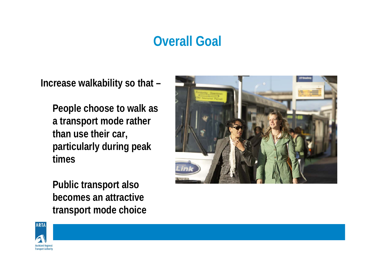#### **Overall Goal**

**Increase walkability so that –**

**People choose to walk as a transport mode rather than use their car, particularly during peak times**



**Public transport also becomes an attractive transport mode choice**

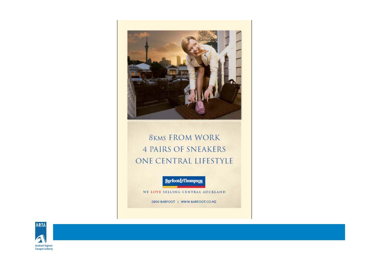

#### **8KMS FROM WORK 4 PAIRS OF SNEAKERS** ONE CENTRAL LIFESTYLE

#### **Barfoot&Thompson**

WE LOVE SELLING CENTRAL AUCKLAND

0800 BARFOOT | WWW.BARFOOT.CO.NZ

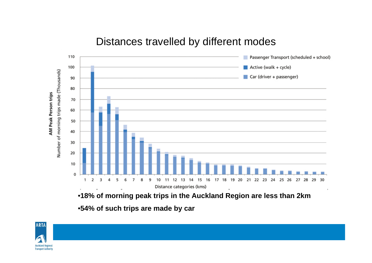#### Distances travelled by different modes



•**54% of such trips are made by car**

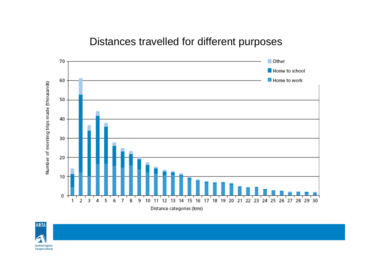#### Distances travelled for different purposes



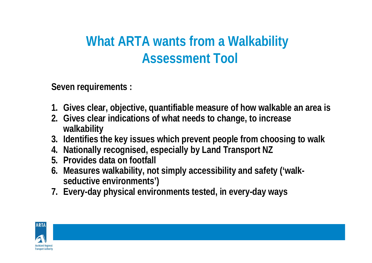## **What ARTA wants from a Walkability Assessment Tool**

**Seven requirements :**

- **1. Gives clear, objective, quantifiable measure of how walkable an area is**
- **2. Gives clear indications of what needs to change, to increase walkability**
- **3. Identifies the key issues which prevent people from choosing to walk**
- **4. Nationally recognised, especially by Land Transport NZ**
- **5. Provides data on footfall**
- **6. Measures walkability, not simply accessibility and safety ('walkseductive environments')**
- **7. Every-day physical environments tested, in every-day ways**

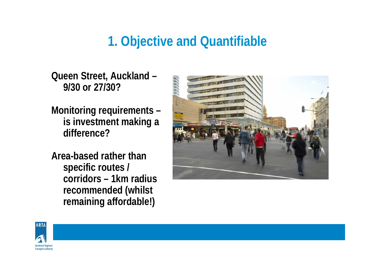#### **1. Objective and Quantifiable**

**Queen Street, Auckland – 9/30 or 27/30?**

**Monitoring requirements – is investment making a difference?**

**Area-based rather than specific routes / corridors – 1km radius recommended (whilst remaining affordable!)**



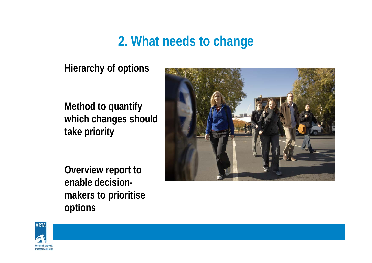#### **2. What needs to change**

**Hierarchy of options**

**Method to quantify which changes should take priority**

**Overview report to enable decisionmakers to prioritise options**



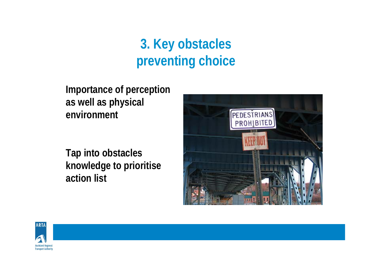## **3. Key obstacles preventing choice**

**Importance of perception as well as physical environment**

**Tap into obstacles knowledge to prioritise action list**



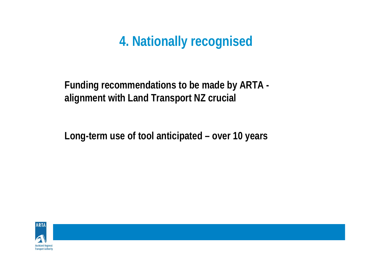## **4. Nationally recognised**

**Funding recommendations to be made by ARTA alignment with Land Transport NZ crucial**

**Long-term use of tool anticipated – over 10 years**

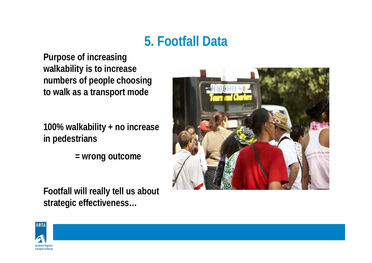### **5. Footfall Data**

**Purpose of increasing walkability is to increase numbers of people choosing to walk as a transport mode**

**100% walkability + no increase in pedestrians** 

**= wrong outcome**

**Footfall will really tell us about strategic effectiveness…**



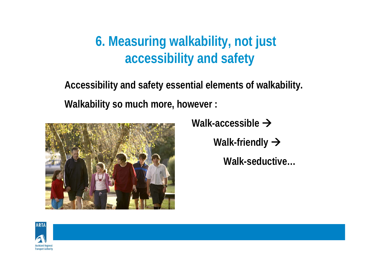## 6. Measuring walkability, not just accessibility and safety

Accessibility and safety essential elements of walkability. Walkability so much more, however :



Walk-accessible  $\rightarrow$ 

Walk-friendly  $\rightarrow$ 

Walk-seductive...

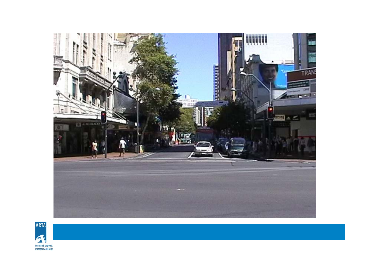

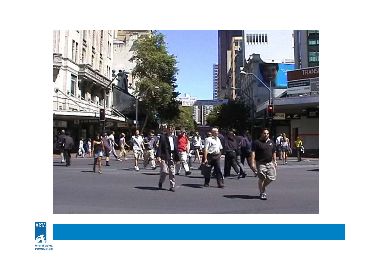

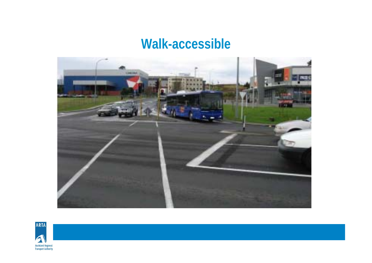#### **Walk-accessible**



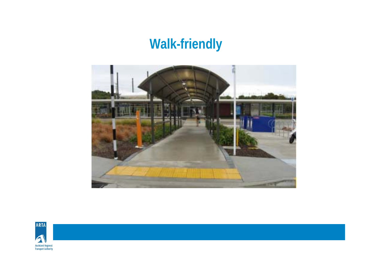## **Walk-friendly**



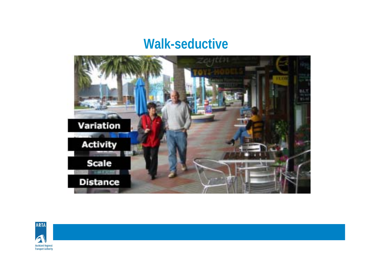#### **Walk-seductive**



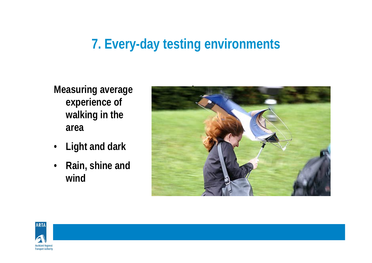## **7. Every-day testing environments**

**Measuring average experience of walking in the area**

- •**Light and dark**
- • **Rain, shine and wind**



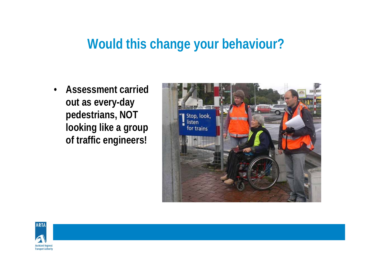#### **Would this change your behaviour?**

• **Assessment carried out as every-day pedestrians, NOT looking like a group of traffic engineers!**



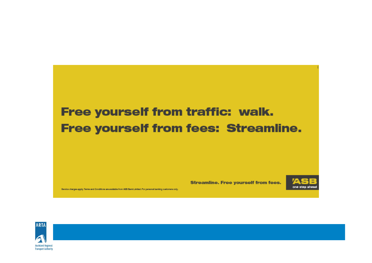#### **Free yourself from traffic: walk. Free yourself from fees: Streamline.**

Streamline. Free yourself from fees.



Service charges apply. Terms and Conditions are available from ABB Bank Limited. For personal banking customers only.

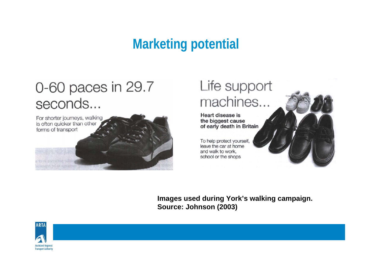#### **Marketing potential**

#### 0-60 paces in 29.7 seconds...

For shorter journeys, walking is often quicker than other forms of transport

## Life support machines...

Heart disease is the biggest cause of early death in Britain

To help protect yourself, leave the car at home and walk to work. school or the shops



**Images used during York's walking campaign. Source: Johnson (2003)**